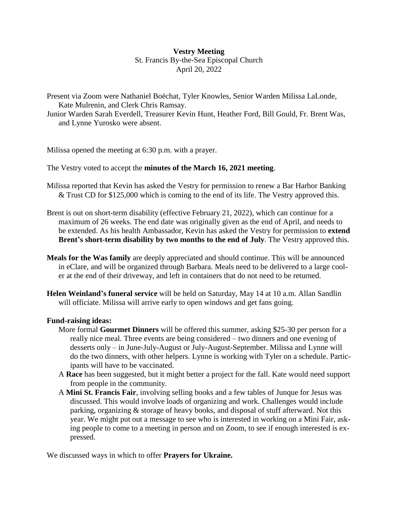## **Vestry Meeting** St. Francis By-the-Sea Episcopal Church April 20, 2022

Present via Zoom were Nathaniel Boëchat, Tyler Knowles, Senior Warden Milissa LaLonde, Kate Mulrenin, and Clerk Chris Ramsay.

Junior Warden Sarah Everdell, Treasurer Kevin Hunt, Heather Ford, Bill Gould, Fr. Brent Was, and Lynne Yurosko were absent.

Milissa opened the meeting at 6:30 p.m. with a prayer.

The Vestry voted to accept the **minutes of the March 16, 2021 meeting**.

- Milissa reported that Kevin has asked the Vestry for permission to renew a Bar Harbor Banking & Trust CD for \$125,000 which is coming to the end of its life. The Vestry approved this.
- Brent is out on short-term disability (effective February 21, 2022), which can continue for a maximum of 26 weeks. The end date was originally given as the end of April, and needs to be extended. As his health Ambassador, Kevin has asked the Vestry for permission to **extend Brent's short-term disability by two months to the end of July**. The Vestry approved this.
- **Meals for the Was family** are deeply appreciated and should continue. This will be announced in eClare, and will be organized through Barbara. Meals need to be delivered to a large cooler at the end of their driveway, and left in containers that do not need to be returned.
- **Helen Weinland's funeral service** will be held on Saturday, May 14 at 10 a.m. Allan Sandlin will officiate. Milissa will arrive early to open windows and get fans going.

## **Fund-raising ideas:**

- More formal **Gourmet Dinners** will be offered this summer, asking \$25-30 per person for a really nice meal. Three events are being considered – two dinners and one evening of desserts only – in June-July-August or July-August-September. Milissa and Lynne will do the two dinners, with other helpers. Lynne is working with Tyler on a schedule. Participants will have to be vaccinated.
- A **Race** has been suggested, but it might better a project for the fall. Kate would need support from people in the community.
- A **Mini St. Francis Fair**, involving selling books and a few tables of Junque for Jesus was discussed. This would involve loads of organizing and work. Challenges would include parking, organizing & storage of heavy books, and disposal of stuff afterward. Not this year. We might put out a message to see who is interested in working on a Mini Fair, asking people to come to a meeting in person and on Zoom, to see if enough interested is expressed.

We discussed ways in which to offer **Prayers for Ukraine.**